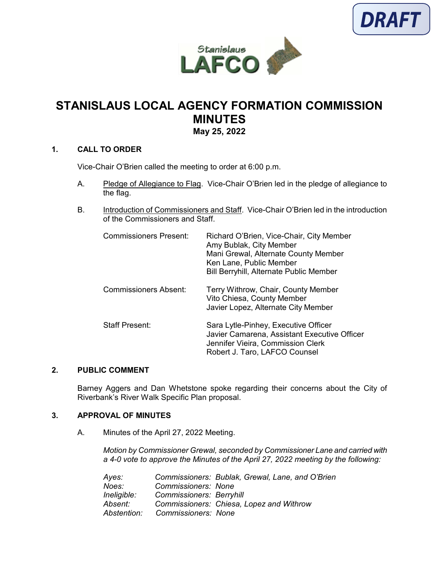



# **STANISLAUS LOCAL AGENCY FORMATION COMMISSION MINUTES May 25, 2022**

#### **1. CALL TO ORDER**

Vice-Chair O'Brien called the meeting to order at 6:00 p.m.

- A. Pledge of Allegiance to Flag. Vice-Chair O'Brien led in the pledge of allegiance to the flag.
- B. Introduction of Commissioners and Staff. Vice-Chair O'Brien led in the introduction of the Commissioners and Staff.

| <b>Commissioners Present:</b> | Richard O'Brien, Vice-Chair, City Member<br>Amy Bublak, City Member<br>Mani Grewal, Alternate County Member<br>Ken Lane, Public Member<br><b>Bill Berryhill, Alternate Public Member</b> |
|-------------------------------|------------------------------------------------------------------------------------------------------------------------------------------------------------------------------------------|
| Commissioners Absent:         | Terry Withrow, Chair, County Member<br>Vito Chiesa, County Member<br>Javier Lopez, Alternate City Member                                                                                 |
| <b>Staff Present:</b>         | Sara Lytle-Pinhey, Executive Officer<br>Javier Camarena, Assistant Executive Officer<br>Jennifer Vieira, Commission Clerk<br>Robert J. Taro, LAFCO Counsel                               |

#### **2. PUBLIC COMMENT**

Barney Aggers and Dan Whetstone spoke regarding their concerns about the City of Riverbank's River Walk Specific Plan proposal.

## **3. APPROVAL OF MINUTES**

A. Minutes of the April 27, 2022 Meeting.

*Motion by Commissioner Grewal, seconded by Commissioner Lane and carried with a 4-0 vote to approve the Minutes of the April 27, 2022 meeting by the following:* 

| Ayes:       |                                 | Commissioners: Bublak, Grewal, Lane, and O'Brien |
|-------------|---------------------------------|--------------------------------------------------|
| Noes:       | Commissioners: None             |                                                  |
| Ineligible: | <b>Commissioners: Berryhill</b> |                                                  |
| Absent:     |                                 | Commissioners: Chiesa, Lopez and Withrow         |
| Abstention: | Commissioners: None             |                                                  |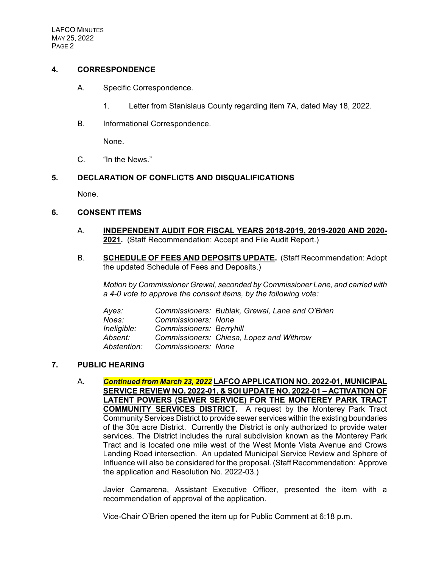## **4. CORRESPONDENCE**

- A. Specific Correspondence.
	- 1. Letter from Stanislaus County regarding item 7A, dated May 18, 2022.
- B. Informational Correspondence.

None.

C. "In the News."

#### **5. DECLARATION OF CONFLICTS AND DISQUALIFICATIONS**

None.

#### **6. CONSENT ITEMS**

- A. **INDEPENDENT AUDIT FOR FISCAL YEARS 2018-2019, 2019-2020 AND 2020- 2021.** (Staff Recommendation: Accept and File Audit Report.)
- B. **SCHEDULE OF FEES AND DEPOSITS UPDATE.** (Staff Recommendation: Adopt the updated Schedule of Fees and Deposits.)

*Motion by Commissioner Grewal, seconded by Commissioner Lane, and carried with a 4-0 vote to approve the consent items, by the following vote:*

| Ayes:       |                                 | Commissioners: Bublak, Grewal, Lane and O'Brien |
|-------------|---------------------------------|-------------------------------------------------|
| Noes:       | Commissioners: None             |                                                 |
| Ineligible: | <b>Commissioners: Berryhill</b> |                                                 |
| Absent:     |                                 | Commissioners: Chiesa, Lopez and Withrow        |
| Abstention: | Commissioners: None             |                                                 |

## **7. PUBLIC HEARING**

A. *Continued from March 23, 2022* **LAFCO APPLICATION NO. 2022-01, MUNICIPAL SERVICE REVIEW NO. 2022-01, & SOI UPDATE NO. 2022-01 – ACTIVATION OF LATENT POWERS (SEWER SERVICE) FOR THE MONTEREY PARK TRACT COMMUNITY SERVICES DISTRICT.** A request by the Monterey Park Tract Community Services District to provide sewer services within the existing boundaries of the 30± acre District. Currently the District is only authorized to provide water services. The District includes the rural subdivision known as the Monterey Park Tract and is located one mile west of the West Monte Vista Avenue and Crows Landing Road intersection. An updated Municipal Service Review and Sphere of Influence will also be considered for the proposal. (Staff Recommendation: Approve the application and Resolution No. 2022-03.)

Javier Camarena, Assistant Executive Officer, presented the item with a recommendation of approval of the application.

Vice-Chair O'Brien opened the item up for Public Comment at 6:18 p.m.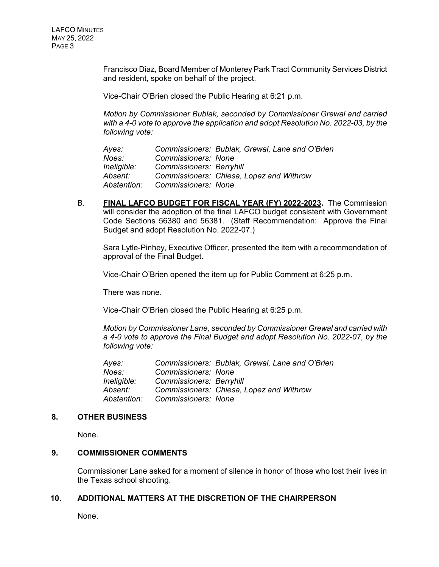Francisco Diaz, Board Member of Monterey Park Tract Community Services District and resident, spoke on behalf of the project.

Vice-Chair O'Brien closed the Public Hearing at 6:21 p.m.

*Motion by Commissioner Bublak, seconded by Commissioner Grewal and carried with a 4-0 vote to approve the application and adopt Resolution No. 2022-03, by the following vote:*

*Ayes: Commissioners: Bublak, Grewal, Lane and O'Brien Noes: Commissioners: None Ineligible: Commissioners: Berryhill Absent: Commissioners: Chiesa, Lopez and Withrow Abstention: Commissioners: None*

B. **FINAL LAFCO BUDGET FOR FISCAL YEAR (FY) 2022-2023.** The Commission will consider the adoption of the final LAFCO budget consistent with Government Code Sections 56380 and 56381. (Staff Recommendation: Approve the Final Budget and adopt Resolution No. 2022-07.)

Sara Lytle-Pinhey, Executive Officer, presented the item with a recommendation of approval of the Final Budget.

Vice-Chair O'Brien opened the item up for Public Comment at 6:25 p.m.

There was none.

Vice-Chair O'Brien closed the Public Hearing at 6:25 p.m.

*Motion by Commissioner Lane, seconded by Commissioner Grewal and carried with a 4-0 vote to approve the Final Budget and adopt Resolution No. 2022-07, by the following vote:*

| Ayes:       |                                 | Commissioners: Bublak, Grewal, Lane and O'Brien |
|-------------|---------------------------------|-------------------------------------------------|
| Noes:       | Commissioners: None             |                                                 |
| Ineligible: | <b>Commissioners: Berryhill</b> |                                                 |
| Absent:     |                                 | Commissioners: Chiesa, Lopez and Withrow        |
| Abstention: | Commissioners: None             |                                                 |

#### **8. OTHER BUSINESS**

None.

#### **9. COMMISSIONER COMMENTS**

Commissioner Lane asked for a moment of silence in honor of those who lost their lives in the Texas school shooting.

## **10. ADDITIONAL MATTERS AT THE DISCRETION OF THE CHAIRPERSON**

None.